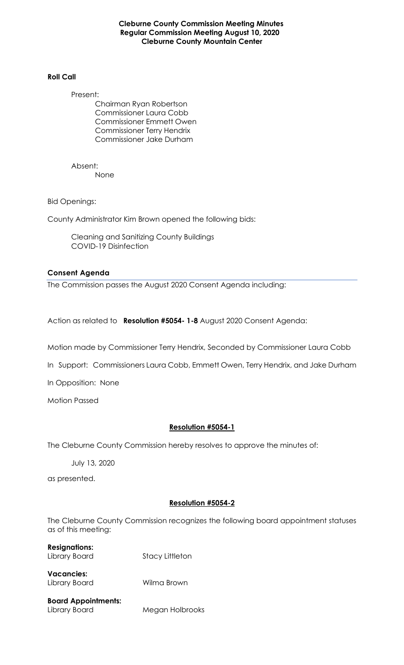#### **Cleburne County Commission Meeting Minutes Regular Commission Meeting August 10, 2020 Cleburne County Mountain Center**

#### **Roll Call**

Present:

Chairman Ryan Robertson Commissioner Laura Cobb Commissioner Emmett Owen Commissioner Terry Hendrix Commissioner Jake Durham

Absent: None

Bid Openings:

County Administrator Kim Brown opened the following bids:

Cleaning and Sanitizing County Buildings COVID-19 Disinfection

#### **Consent Agenda**

The Commission passes the August 2020 Consent Agenda including:

Action as related to **Resolution #5054- 1-8** August 2020 Consent Agenda:

Motion made by Commissioner Terry Hendrix, Seconded by Commissioner Laura Cobb

In Support: Commissioners Laura Cobb, Emmett Owen, Terry Hendrix, and Jake Durham

In Opposition: None

Motion Passed

#### **Resolution #5054-1**

The Cleburne County Commission hereby resolves to approve the minutes of:

July 13, 2020

as presented.

#### **Resolution #5054-2**

The Cleburne County Commission recognizes the following board appointment statuses as of this meeting:

**Resignations:**  Library Board Stacy Littleton

**Vacancies:**  Library Board Wilma Brown

**Board Appointments:**  Library Board Megan Holbrooks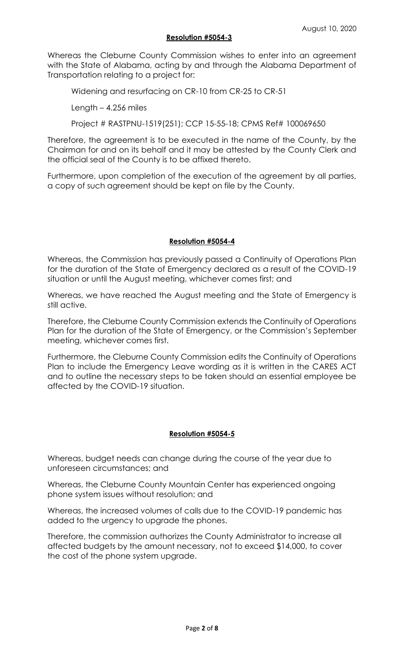#### **Resolution #5054-3**

Whereas the Cleburne County Commission wishes to enter into an agreement with the State of Alabama, acting by and through the Alabama Department of Transportation relating to a project for:

Widening and resurfacing on CR-10 from CR-25 to CR-51

Length – 4.256 miles

Project # RASTPNU-1519(251); CCP 15-55-18; CPMS Ref# 100069650

Therefore, the agreement is to be executed in the name of the County, by the Chairman for and on its behalf and it may be attested by the County Clerk and the official seal of the County is to be affixed thereto.

Furthermore, upon completion of the execution of the agreement by all parties, a copy of such agreement should be kept on file by the County.

## **Resolution #5054-4**

Whereas, the Commission has previously passed a Continuity of Operations Plan for the duration of the State of Emergency declared as a result of the COVID-19 situation or until the August meeting, whichever comes first; and

Whereas, we have reached the August meeting and the State of Emergency is still active.

Therefore, the Cleburne County Commission extends the Continuity of Operations Plan for the duration of the State of Emergency, or the Commission's September meeting, whichever comes first.

Furthermore, the Cleburne County Commission edits the Continuity of Operations Plan to include the Emergency Leave wording as it is written in the CARES ACT and to outline the necessary steps to be taken should an essential employee be affected by the COVID-19 situation.

#### **Resolution #5054-5**

Whereas, budget needs can change during the course of the year due to unforeseen circumstances; and

Whereas, the Cleburne County Mountain Center has experienced ongoing phone system issues without resolution; and

Whereas, the increased volumes of calls due to the COVID-19 pandemic has added to the urgency to upgrade the phones.

Therefore, the commission authorizes the County Administrator to increase all affected budgets by the amount necessary, not to exceed \$14,000, to cover the cost of the phone system upgrade.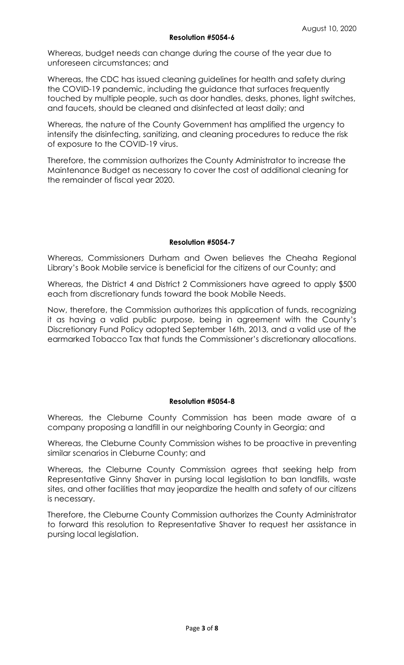Whereas, budget needs can change during the course of the year due to unforeseen circumstances; and

Whereas, the CDC has issued cleaning guidelines for health and safety during the COVID-19 pandemic, including the guidance that surfaces frequently touched by multiple people, such as door handles, desks, phones, light switches, and faucets, should be cleaned and disinfected at least daily; and

Whereas, the nature of the County Government has amplified the urgency to intensify the disinfecting, sanitizing, and cleaning procedures to reduce the risk of exposure to the COVID-19 virus.

Therefore, the commission authorizes the County Administrator to increase the Maintenance Budget as necessary to cover the cost of additional cleaning for the remainder of fiscal year 2020.

## **Resolution #5054-7**

Whereas, Commissioners Durham and Owen believes the Cheaha Regional Library's Book Mobile service is beneficial for the citizens of our County; and

Whereas, the District 4 and District 2 Commissioners have agreed to apply \$500 each from discretionary funds toward the book Mobile Needs.

Now, therefore, the Commission authorizes this application of funds, recognizing it as having a valid public purpose, being in agreement with the County's Discretionary Fund Policy adopted September 16th, 2013, and a valid use of the earmarked Tobacco Tax that funds the Commissioner's discretionary allocations.

#### **Resolution #5054-8**

Whereas, the Cleburne County Commission has been made aware of a company proposing a landfill in our neighboring County in Georgia; and

Whereas, the Cleburne County Commission wishes to be proactive in preventing similar scenarios in Cleburne County; and

Whereas, the Cleburne County Commission agrees that seeking help from Representative Ginny Shaver in pursing local legislation to ban landfills, waste sites, and other facilities that may jeopardize the health and safety of our citizens is necessary.

Therefore, the Cleburne County Commission authorizes the County Administrator to forward this resolution to Representative Shaver to request her assistance in pursing local legislation.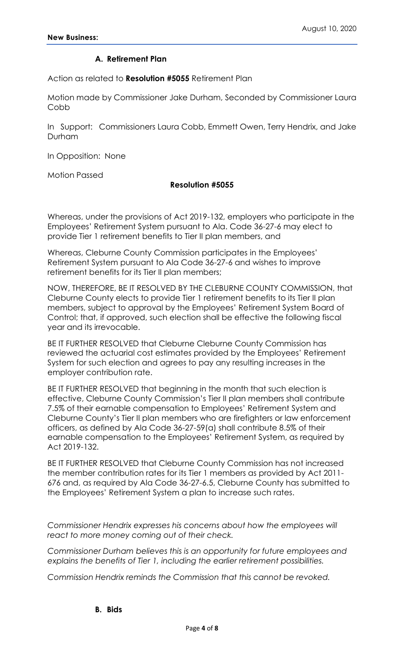## **A. Retirement Plan**

Action as related to **Resolution #5055** Retirement Plan

Motion made by Commissioner Jake Durham, Seconded by Commissioner Laura Cobb

In Support: Commissioners Laura Cobb, Emmett Owen, Terry Hendrix, and Jake Durham

In Opposition: None

Motion Passed

## **Resolution #5055**

Whereas, under the provisions of Act 2019-132, employers who participate in the Employees' Retirement System pursuant to Ala. Code 36-27-6 may elect to provide Tier 1 retirement benefits to Tier II plan members, and

Whereas, Cleburne County Commission participates in the Employees' Retirement System pursuant to Ala Code 36-27-6 and wishes to improve retirement benefits for its Tier II plan members;

NOW, THEREFORE, BE IT RESOLVED BY THE CLEBURNE COUNTY COMMISSION, that Cleburne County elects to provide Tier 1 retirement benefits to its Tier II plan members, subject to approval by the Employees' Retirement System Board of Control; that, if approved, such election shall be effective the following fiscal year and its irrevocable.

BE IT FURTHER RESOLVED that Cleburne Cleburne County Commission has reviewed the actuarial cost estimates provided by the Employees' Retirement System for such election and agrees to pay any resulting increases in the employer contribution rate.

BE IT FURTHER RESOLVED that beginning in the month that such election is effective, Cleburne County Commission's Tier II plan members shall contribute 7.5% of their earnable compensation to Employees' Retirement System and Cleburne County's Tier II plan members who are firefighters or law enforcement officers, as defined by Ala Code 36-27-59(a) shall contribute 8.5% of their earnable compensation to the Employees' Retirement System, as required by Act 2019-132.

BE IT FURTHER RESOLVED that Cleburne County Commission has not increased the member contribution rates for its Tier 1 members as provided by Act 2011- 676 and, as required by Ala Code 36-27-6.5, Cleburne County has submitted to the Employees' Retirement System a plan to increase such rates.

*Commissioner Hendrix expresses his concerns about how the employees will react to more money coming out of their check.*

*Commissioner Durham believes this is an opportunity for future employees and explains the benefits of Tier 1, including the earlier retirement possibilities.* 

*Commission Hendrix reminds the Commission that this cannot be revoked.*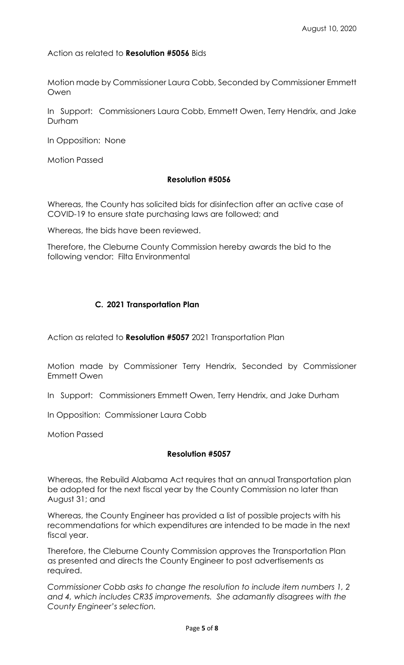Action as related to **Resolution #5056** Bids

Motion made by Commissioner Laura Cobb, Seconded by Commissioner Emmett Owen

In Support: Commissioners Laura Cobb, Emmett Owen, Terry Hendrix, and Jake Durham

In Opposition: None

Motion Passed

## **Resolution #5056**

Whereas, the County has solicited bids for disinfection after an active case of COVID-19 to ensure state purchasing laws are followed; and

Whereas, the bids have been reviewed.

Therefore, the Cleburne County Commission hereby awards the bid to the following vendor: Filta Environmental

## **C. 2021 Transportation Plan**

Action as related to **Resolution #5057** 2021 Transportation Plan

Motion made by Commissioner Terry Hendrix, Seconded by Commissioner Emmett Owen

In Support: Commissioners Emmett Owen, Terry Hendrix, and Jake Durham

In Opposition: Commissioner Laura Cobb

Motion Passed

### **Resolution #5057**

Whereas, the Rebuild Alabama Act requires that an annual Transportation plan be adopted for the next fiscal year by the County Commission no later than August 31; and

Whereas, the County Engineer has provided a list of possible projects with his recommendations for which expenditures are intended to be made in the next fiscal year.

Therefore, the Cleburne County Commission approves the Transportation Plan as presented and directs the County Engineer to post advertisements as required.

*Commissioner Cobb asks to change the resolution to include item numbers 1, 2 and 4, which includes CR35 improvements. She adamantly disagrees with the County Engineer's selection.*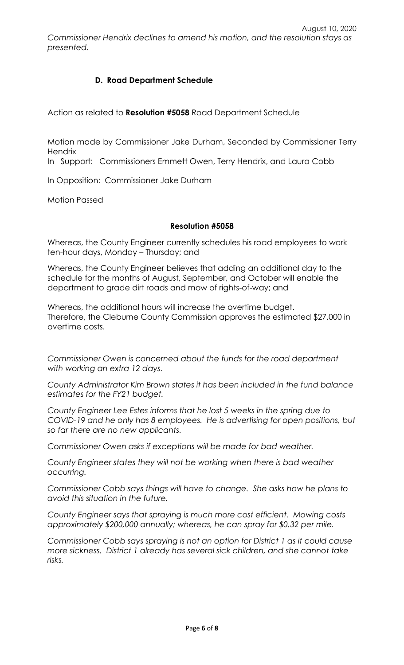August 10, 2020 *Commissioner Hendrix declines to amend his motion, and the resolution stays as presented.* 

# **D. Road Department Schedule**

Action as related to **Resolution #5058** Road Department Schedule

Motion made by Commissioner Jake Durham, Seconded by Commissioner Terry **Hendrix** 

In Support: Commissioners Emmett Owen, Terry Hendrix, and Laura Cobb

In Opposition: Commissioner Jake Durham

Motion Passed

## **Resolution #5058**

Whereas, the County Engineer currently schedules his road employees to work ten-hour days, Monday – Thursday; and

Whereas, the County Engineer believes that adding an additional day to the schedule for the months of August, September, and October will enable the department to grade dirt roads and mow of rights-of-way; and

Whereas, the additional hours will increase the overtime budget. Therefore, the Cleburne County Commission approves the estimated \$27,000 in overtime costs.

*Commissioner Owen is concerned about the funds for the road department with working an extra 12 days.*

*County Administrator Kim Brown states it has been included in the fund balance estimates for the FY21 budget.* 

*County Engineer Lee Estes informs that he lost 5 weeks in the spring due to COVID-19 and he only has 8 employees. He is advertising for open positions, but so far there are no new applicants.*

*Commissioner Owen asks if exceptions will be made for bad weather.*

*County Engineer states they will not be working when there is bad weather occurring.* 

*Commissioner Cobb says things will have to change. She asks how he plans to avoid this situation in the future.* 

*County Engineer says that spraying is much more cost efficient. Mowing costs approximately \$200,000 annually; whereas, he can spray for \$0.32 per mile.* 

*Commissioner Cobb says spraying is not an option for District 1 as it could cause more sickness. District 1 already has several sick children, and she cannot take risks.*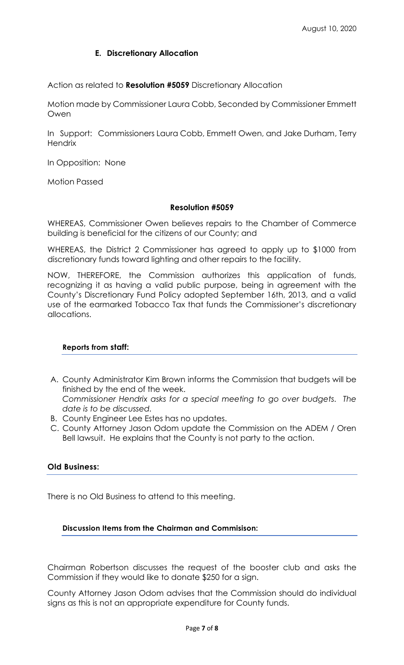## **E. Discretionary Allocation**

Action as related to **Resolution #5059** Discretionary Allocation

Motion made by Commissioner Laura Cobb, Seconded by Commissioner Emmett Owen

In Support: Commissioners Laura Cobb, Emmett Owen, and Jake Durham, Terry **Hendrix** 

In Opposition: None

Motion Passed

## **Resolution #5059**

WHEREAS, Commissioner Owen believes repairs to the Chamber of Commerce building is beneficial for the citizens of our County; and

WHEREAS, the District 2 Commissioner has agreed to apply up to \$1000 from discretionary funds toward lighting and other repairs to the facility.

NOW, THEREFORE, the Commission authorizes this application of funds, recognizing it as having a valid public purpose, being in agreement with the County's Discretionary Fund Policy adopted September 16th, 2013, and a valid use of the earmarked Tobacco Tax that funds the Commissioner's discretionary allocations.

## **Reports from staff:**

- A. County Administrator Kim Brown informs the Commission that budgets will be finished by the end of the week. *Commissioner Hendrix asks for a special meeting to go over budgets. The*
- *date is to be discussed.*  B. County Engineer Lee Estes has no updates.
- C. County Attorney Jason Odom update the Commission on the ADEM / Oren Bell lawsuit. He explains that the County is not party to the action.

## **Old Business:**

There is no Old Business to attend to this meeting.

### **Discussion Items from the Chairman and Commisison:**

Chairman Robertson discusses the request of the booster club and asks the Commission if they would like to donate \$250 for a sign.

County Attorney Jason Odom advises that the Commission should do individual signs as this is not an appropriate expenditure for County funds.